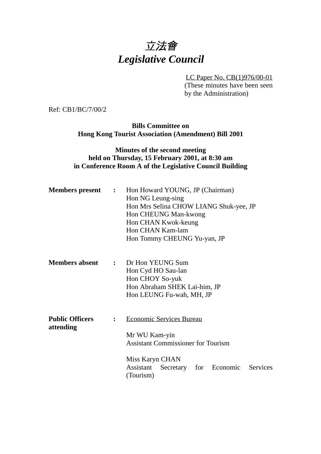# 立法會 *Legislative Council*

LC Paper No. CB(1)976/00-01 (These minutes have been seen by the Administration)

Ref: CB1/BC/7/00/2

**Bills Committee on Hong Kong Tourist Association (Amendment) Bill 2001**

### **Minutes of the second meeting held on Thursday, 15 February 2001, at 8:30 am in Conference Room A of the Legislative Council Building**

| <b>Members present</b>              | $\mathbf{L}$   | Hon Howard YOUNG, JP (Chairman)<br>Hon NG Leung-sing<br>Hon Mrs Selina CHOW LIANG Shuk-yee, JP<br>Hon CHEUNG Man-kwong<br>Hon CHAN Kwok-keung<br>Hon CHAN Kam-lam<br>Hon Tommy CHEUNG Yu-yan, JP |
|-------------------------------------|----------------|--------------------------------------------------------------------------------------------------------------------------------------------------------------------------------------------------|
| <b>Members absent</b>               | $\mathbf{L}$   | Dr Hon YEUNG Sum<br>Hon Cyd HO Sau-lan<br>Hon CHOY So-yuk<br>Hon Abraham SHEK Lai-him, JP<br>Hon LEUNG Fu-wah, MH, JP                                                                            |
| <b>Public Officers</b><br>attending | $\ddot{\cdot}$ | <b>Economic Services Bureau</b><br>Mr WU Kam-yin<br><b>Assistant Commissioner for Tourism</b><br>Miss Karyn CHAN<br>Assistant<br>Secretary for Economic<br>Services<br>(Tourism)                 |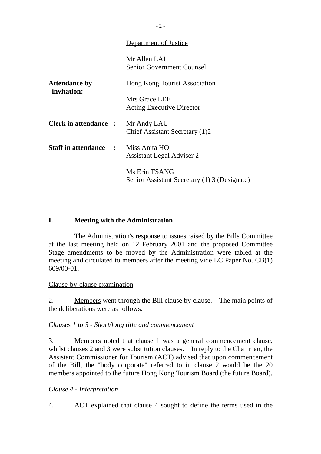|                                     | <u>Department of Justice</u>                                  |
|-------------------------------------|---------------------------------------------------------------|
|                                     | Mr Allen LAI<br><b>Senior Government Counsel</b>              |
| <b>Attendance by</b><br>invitation: | <u>Hong Kong Tourist Association</u>                          |
|                                     | Mrs Grace LEE<br><b>Acting Executive Director</b>             |
| <b>Clerk in attendance :</b>        | Mr Andy LAU<br>Chief Assistant Secretary (1)2                 |
| <b>Staff in attendance :</b>        | Miss Anita HO<br><b>Assistant Legal Adviser 2</b>             |
|                                     | Ms Erin TSANG<br>Senior Assistant Secretary (1) 3 (Designate) |
|                                     |                                                               |

#### **I. Meeting with the Administration**

The Administration's response to issues raised by the Bills Committee at the last meeting held on 12 February 2001 and the proposed Committee Stage amendments to be moved by the Administration were tabled at the meeting and circulated to members after the meeting vide LC Paper No. CB(1) 609/00-01.

\_\_\_\_\_\_\_\_\_\_\_\_\_\_\_\_\_\_\_\_\_\_\_\_\_\_\_\_\_\_\_\_\_\_\_\_\_\_\_\_\_\_\_\_\_\_\_\_\_\_\_\_\_\_\_\_\_\_\_\_\_\_\_

Clause-by-clause examination

2. Members went through the Bill clause by clause. The main points of the deliberations were as follows:

*Clauses 1 to 3 - Short/long title and commencement*

3. Members noted that clause 1 was a general commencement clause, whilst clauses 2 and 3 were substitution clauses. In reply to the Chairman, the Assistant Commissioner for Tourism (ACT) advised that upon commencement of the Bill, the "body corporate" referred to in clause 2 would be the 20 members appointed to the future Hong Kong Tourism Board (the future Board).

*Clause 4 - Interpretation*

4. ACT explained that clause 4 sought to define the terms used in the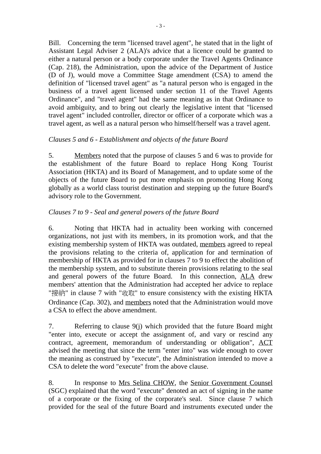Bill. Concerning the term "licensed travel agent", he stated that in the light of Assistant Legal Adviser 2 (ALA)'s advice that a licence could be granted to either a natural person or a body corporate under the Travel Agents Ordinance (Cap. 218), the Administration, upon the advice of the Department of Justice (D of J), would move a Committee Stage amendment (CSA) to amend the definition of "licensed travel agent" as "a natural person who is engaged in the business of a travel agent licensed under section 11 of the Travel Agents Ordinance", and "travel agent" had the same meaning as in that Ordinance to avoid ambiguity, and to bring out clearly the legislative intent that "licensed travel agent" included controller, director or officer of a corporate which was a travel agent, as well as a natural person who himself/herself was a travel agent.

#### *Clauses 5 and 6 - Establishment and objects of the future Board*

5. Members noted that the purpose of clauses 5 and 6 was to provide for the establishment of the future Board to replace Hong Kong Tourist Association (HKTA) and its Board of Management, and to update some of the objects of the future Board to put more emphasis on promoting Hong Kong globally as a world class tourist destination and stepping up the future Board's advisory role to the Government.

## *Clauses 7 to 9 - Seal and general powers of the future Board*

6. Noting that HKTA had in actuality been working with concerned organizations, not just with its members, in its promotion work, and that the existing membership system of HKTA was outdated, members agreed to repeal the provisions relating to the criteria of, application for and termination of membership of HKTA as provided for in clauses 7 to 9 to effect the abolition of the membership system, and to substitute therein provisions relating to the seal and general powers of the future Board. In this connection, ALA drew members' attention that the Administration had accepted her advice to replace "接納" in clause 7 with "收取" to ensure consistency with the existing HKTA Ordinance (Cap. 302), and members noted that the Administration would move a CSA to effect the above amendment.

7. Referring to clause 9(j) which provided that the future Board might "enter into, execute or accept the assignment of, and vary or rescind any contract, agreement, memorandum of understanding or obligation", ACT advised the meeting that since the term "enter into" was wide enough to cover the meaning as construed by "execute", the Administration intended to move a CSA to delete the word "execute" from the above clause.

8. In response to Mrs Selina CHOW, the Senior Government Counsel (SGC) explained that the word "execute" denoted an act of signing in the name of a corporate or the fixing of the corporate's seal. Since clause 7 which provided for the seal of the future Board and instruments executed under the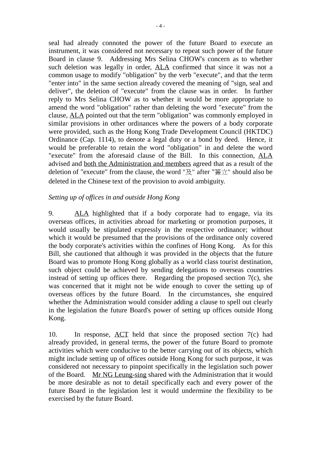seal had already connoted the power of the future Board to execute an instrument, it was considered not necessary to repeat such power of the future Board in clause 9. Addressing Mrs Selina CHOW's concern as to whether such deletion was legally in order, ALA confirmed that since it was not a common usage to modify "obligation" by the verb "execute", and that the term "enter into" in the same section already covered the meaning of "sign, seal and deliver", the deletion of "execute" from the clause was in order. In further reply to Mrs Selina CHOW as to whether it would be more appropriate to amend the word "obligation" rather than deleting the word "execute" from the clause, ALA pointed out that the term "obligation" was commonly employed in similar provisions in other ordinances where the powers of a body corporate were provided, such as the Hong Kong Trade Development Council (HKTDC) Ordinance (Cap. 1114), to denote a legal duty or a bond by deed. Hence, it would be preferable to retain the word "obligation" in and delete the word "execute" from the aforesaid clause of the Bill. In this connection, ALA advised and both the Administration and members agreed that as a result of the deletion of "execute" from the clause, the word "及" after "簽立" should also be deleted in the Chinese text of the provision to avoid ambiguity.

#### *Setting up of offices in and outside Hong Kong*

9. ALA highlighted that if a body corporate had to engage, via its overseas offices, in activities abroad for marketing or promotion purposes, it would usually be stipulated expressly in the respective ordinance; without which it would be presumed that the provisions of the ordinance only covered the body corporate's activities within the confines of Hong Kong. As for this Bill, she cautioned that although it was provided in the objects that the future Board was to promote Hong Kong globally as a world class tourist destination, such object could be achieved by sending delegations to overseas countries instead of setting up offices there. Regarding the proposed section  $7(c)$ , she was concerned that it might not be wide enough to cover the setting up of overseas offices by the future Board. In the circumstances, she enquired whether the Administration would consider adding a clause to spell out clearly in the legislation the future Board's power of setting up offices outside Hong Kong.

10. In response, ACT held that since the proposed section 7(c) had already provided, in general terms, the power of the future Board to promote activities which were conducive to the better carrying out of its objects, which might include setting up of offices outside Hong Kong for such purpose, it was considered not necessary to pinpoint specifically in the legislation such power of the Board. Mr NG Leung-sing shared with the Administration that it would be more desirable as not to detail specifically each and every power of the future Board in the legislation lest it would undermine the flexibility to be exercised by the future Board.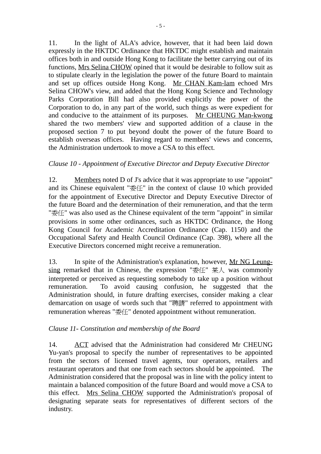11. In the light of ALA's advice, however, that it had been laid down expressly in the HKTDC Ordinance that HKTDC might establish and maintain offices both in and outside Hong Kong to facilitate the better carrying out of its functions, Mrs Selina CHOW opined that it would be desirable to follow suit as to stipulate clearly in the legislation the power of the future Board to maintain and set up offices outside Hong Kong. Mr CHAN Kam-lam echoed Mrs Selina CHOW's view, and added that the Hong Kong Science and Technology Parks Corporation Bill had also provided explicitly the power of the Corporation to do, in any part of the world, such things as were expedient for and conducive to the attainment of its purposes. Mr CHEUNG Man-kwong shared the two members' view and supported addition of a clause in the proposed section 7 to put beyond doubt the power of the future Board to establish overseas offices. Having regard to members' views and concerns, the Administration undertook to move a CSA to this effect.

#### *Clause 10 - Appointment of Executive Director and Deputy Executive Director*

12. Members noted D of J's advice that it was appropriate to use "appoint" and its Chinese equivalent "委任" in the context of clause 10 which provided for the appointment of Executive Director and Deputy Executive Director of the future Board and the determination of their remuneration, and that the term "委任" was also used as the Chinese equivalent of the term "appoint" in similar provisions in some other ordinances, such as HKTDC Ordinance, the Hong Kong Council for Academic Accreditation Ordinance (Cap. 1150) and the Occupational Safety and Health Council Ordinance (Cap. 398), where all the Executive Directors concerned might receive a remuneration.

13. In spite of the Administration's explanation, however, Mr NG Leungsing remarked that in Chinese, the expression " $\text{\&fff}$ "  $\text{\&f} \downarrow \text{W}$  was commonly interpreted or perceived as requesting somebody to take up a position without remuneration. To avoid causing confusion, he suggested that the Administration should, in future drafting exercises, consider making a clear demarcation on usage of words such that "聘請" referred to appointment with remuneration whereas "委任" denoted appointment without remuneration.

#### *Clause 11- Constitution and membership of the Board*

14. ACT advised that the Administration had considered Mr CHEUNG Yu-yan's proposal to specify the number of representatives to be appointed from the sectors of licensed travel agents, tour operators, retailers and restaurant operators and that one from each sectors should be appointed. The Administration considered that the proposal was in line with the policy intent to maintain a balanced composition of the future Board and would move a CSA to this effect. Mrs Selina CHOW supported the Administration's proposal of designating separate seats for representatives of different sectors of the industry.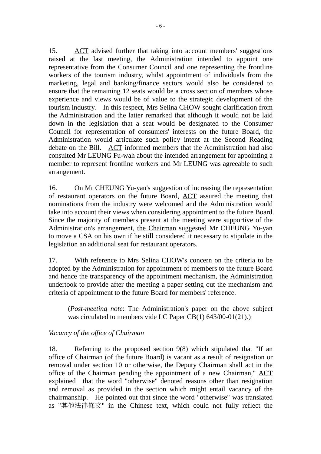15. ACT advised further that taking into account members' suggestions raised at the last meeting, the Administration intended to appoint one representative from the Consumer Council and one representing the frontline workers of the tourism industry, whilst appointment of individuals from the marketing, legal and banking/finance sectors would also be considered to ensure that the remaining 12 seats would be a cross section of members whose experience and views would be of value to the strategic development of the tourism industry. In this respect, Mrs Selina CHOW sought clarification from the Administration and the latter remarked that although it would not be laid down in the legislation that a seat would be designated to the Consumer Council for representation of consumers' interests on the future Board, the Administration would articulate such policy intent at the Second Reading debate on the Bill. ACT informed members that the Administration had also consulted Mr LEUNG Fu-wah about the intended arrangement for appointing a member to represent frontline workers and Mr LEUNG was agreeable to such arrangement.

16. On Mr CHEUNG Yu-yan's suggestion of increasing the representation of restaurant operators on the future Board, ACT assured the meeting that nominations from the industry were welcomed and the Administration would take into account their views when considering appointment to the future Board. Since the majority of members present at the meeting were supportive of the Administration's arrangement, the Chairman suggested Mr CHEUNG Yu-yan to move a CSA on his own if he still considered it necessary to stipulate in the legislation an additional seat for restaurant operators.

17. With reference to Mrs Selina CHOW's concern on the criteria to be adopted by the Administration for appointment of members to the future Board and hence the transparency of the appointment mechanism, the Administration undertook to provide after the meeting a paper setting out the mechanism and criteria of appointment to the future Board for members' reference.

(*Post-meeting note*: The Administration's paper on the above subject was circulated to members vide LC Paper CB(1) 643/00-01(21).)

#### *Vacancy of the office of Chairman*

18. Referring to the proposed section 9(8) which stipulated that "If an office of Chairman (of the future Board) is vacant as a result of resignation or removal under section 10 or otherwise, the Deputy Chairman shall act in the office of the Chairman pending the appointment of a new Chairman," ACT explained that the word "otherwise" denoted reasons other than resignation and removal as provided in the section which might entail vacancy of the chairmanship. He pointed out that since the word "otherwise" was translated as "其他法律條文" in the Chinese text, which could not fully reflect the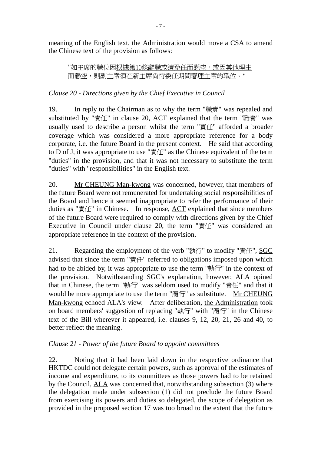meaning of the English text, the Administration would move a CSA to amend the Chinese text of the provision as follows:

"如主席的職位因根據第10條辭職或遭免任而懸空,或因其他理由 而懸空,則副主席須在新主席尚待委任期間署理主席的職位。"

## *Clause 20 - Directions given by the Chief Executive in Council*

19. In reply to the Chairman as to why the term "職責" was repealed and substituted by "責任" in clause 20, ACT explained that the term "職責" was usually used to describe a person whilst the term "責任" afforded a broader coverage which was considered a more appropriate reference for a body corporate, i.e. the future Board in the present context. He said that according to D of J, it was appropriate to use " $\exists$   $\forall$   $\forall$  as the Chinese equivalent of the term "duties" in the provision, and that it was not necessary to substitute the term "duties" with "responsibilities" in the English text.

20. Mr CHEUNG Man-kwong was concerned, however, that members of the future Board were not remunerated for undertaking social responsibilities of the Board and hence it seemed inappropriate to refer the performance of their duties as "責任" in Chinese. In response, ACT explained that since members of the future Board were required to comply with directions given by the Chief Executive in Council under clause 20, the term "責任" was considered an appropriate reference in the context of the provision.

21. Regarding the employment of the verb "執行" to modify "責任", SGC advised that since the term "責任" referred to obligations imposed upon which had to be abided by, it was appropriate to use the term "執行" in the context of the provision. Notwithstanding SGC's explanation, however, ALA opined that in Chinese, the term "執行" was seldom used to modify "責任" and that it would be more appropriate to use the term "履行" as substitute. Mr CHEUNG Man-kwong echoed ALA's view. After deliberation, the Administration took on board members' suggestion of replacing "執行" with "履行" in the Chinese text of the Bill wherever it appeared, i.e. clauses 9, 12, 20, 21, 26 and 40, to better reflect the meaning.

## *Clause 21 - Power of the future Board to appoint committees*

22. Noting that it had been laid down in the respective ordinance that HKTDC could not delegate certain powers, such as approval of the estimates of income and expenditure, to its committees as those powers had to be retained by the Council, ALA was concerned that, notwithstanding subsection (3) where the delegation made under subsection (1) did not preclude the future Board from exercising its powers and duties so delegated, the scope of delegation as provided in the proposed section 17 was too broad to the extent that the future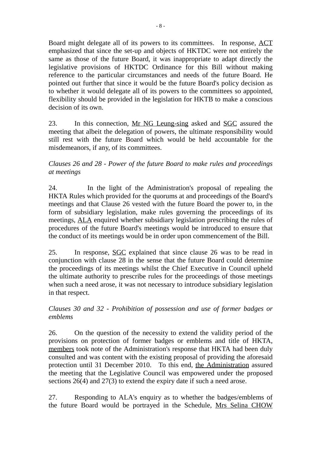Board might delegate all of its powers to its committees. In response, ACT emphasized that since the set-up and objects of HKTDC were not entirely the same as those of the future Board, it was inappropriate to adapt directly the legislative provisions of HKTDC Ordinance for this Bill without making reference to the particular circumstances and needs of the future Board. He pointed out further that since it would be the future Board's policy decision as to whether it would delegate all of its powers to the committees so appointed, flexibility should be provided in the legislation for HKTB to make a conscious decision of its own.

23. In this connection, Mr NG Leung-sing asked and SGC assured the meeting that albeit the delegation of powers, the ultimate responsibility would still rest with the future Board which would be held accountable for the misdemeanors, if any, of its committees.

#### *Clauses 26 and 28 - Power of the future Board to make rules and proceedings at meetings*

24. In the light of the Administration's proposal of repealing the HKTA Rules which provided for the quorums at and proceedings of the Board's meetings and that Clause 26 vested with the future Board the power to, in the form of subsidiary legislation, make rules governing the proceedings of its meetings, ALA enquired whether subsidiary legislation prescribing the rules of procedures of the future Board's meetings would be introduced to ensure that the conduct of its meetings would be in order upon commencement of the Bill.

25. In response, SGC explained that since clause 26 was to be read in conjunction with clause 28 in the sense that the future Board could determine the proceedings of its meetings whilst the Chief Executive in Council upheld the ultimate authority to prescribe rules for the proceedings of those meetings when such a need arose, it was not necessary to introduce subsidiary legislation in that respect.

#### *Clauses 30 and 32 - Prohibition of possession and use of former badges or emblems*

26. On the question of the necessity to extend the validity period of the provisions on protection of former badges or emblems and title of HKTA, members took note of the Administration's response that HKTA had been duly consulted and was content with the existing proposal of providing the aforesaid protection until 31 December 2010. To this end, the Administration assured the meeting that the Legislative Council was empowered under the proposed sections 26(4) and 27(3) to extend the expiry date if such a need arose.

27. Responding to ALA's enquiry as to whether the badges/emblems of the future Board would be portrayed in the Schedule, Mrs Selina CHOW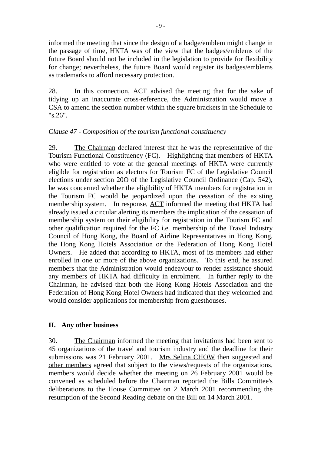informed the meeting that since the design of a badge/emblem might change in the passage of time, HKTA was of the view that the badges/emblems of the future Board should not be included in the legislation to provide for flexibility for change; nevertheless, the future Board would register its badges/emblems as trademarks to afford necessary protection.

28. In this connection, ACT advised the meeting that for the sake of tidying up an inaccurate cross-reference, the Administration would move a CSA to amend the section number within the square brackets in the Schedule to "s.26".

#### *Clause 47 - Composition of the tourism functional constituency*

29. The Chairman declared interest that he was the representative of the Tourism Functional Constituency (FC). Highlighting that members of HKTA who were entitled to vote at the general meetings of HKTA were currently eligible for registration as electors for Tourism FC of the Legislative Council elections under section 20O of the Legislative Council Ordinance (Cap. 542), he was concerned whether the eligibility of HKTA members for registration in the Tourism FC would be jeopardized upon the cessation of the existing membership system. In response, ACT informed the meeting that HKTA had already issued a circular alerting its members the implication of the cessation of membership system on their eligibility for registration in the Tourism FC and other qualification required for the FC i.e. membership of the Travel Industry Council of Hong Kong, the Board of Airline Representatives in Hong Kong, the Hong Kong Hotels Association or the Federation of Hong Kong Hotel Owners. He added that according to HKTA, most of its members had either enrolled in one or more of the above organizations. To this end, he assured members that the Administration would endeavour to render assistance should any members of HKTA had difficulty in enrolment. In further reply to the Chairman, he advised that both the Hong Kong Hotels Association and the Federation of Hong Kong Hotel Owners had indicated that they welcomed and would consider applications for membership from guesthouses.

#### **II. Any other business**

30. The Chairman informed the meeting that invitations had been sent to 45 organizations of the travel and tourism industry and the deadline for their submissions was 21 February 2001. Mrs Selina CHOW then suggested and other members agreed that subject to the views/requests of the organizations, members would decide whether the meeting on 26 February 2001 would be convened as scheduled before the Chairman reported the Bills Committee's deliberations to the House Committee on 2 March 2001 recommending the resumption of the Second Reading debate on the Bill on 14 March 2001.